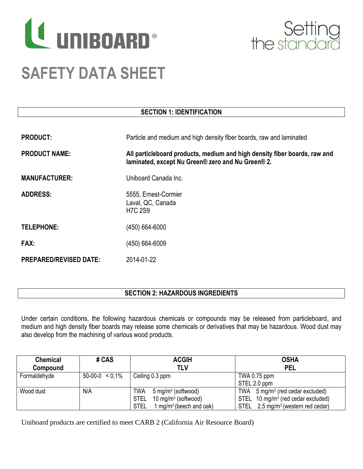



# **SECTION 1: IDENTIFICATION**

| <b>PRODUCT:</b>               | Particle and medium and high density fiber boards, raw and laminated                                                           |
|-------------------------------|--------------------------------------------------------------------------------------------------------------------------------|
| <b>PRODUCT NAME:</b>          | All particleboard products, medium and high density fiber boards, raw and<br>laminated, except Nu Green® zero and Nu Green® 2. |
| <b>MANUFACTURER:</b>          | Uniboard Canada Inc.                                                                                                           |
| <b>ADDRESS:</b>               | 5555, Ernest-Cormier<br>Laval, QC, Canada<br><b>H7C 2S9</b>                                                                    |
| TELEPHONE:                    | (450) 664-6000                                                                                                                 |
| FAX:                          | (450) 664-6009                                                                                                                 |
| <b>PREPARED/REVISED DATE:</b> | 2014-01-22                                                                                                                     |

# **SECTION 2: HAZARDOUS INGREDIENTS**

Under certain conditions, the following hazardous chemicals or compounds may be released from particleboard, and medium and high density fiber boards may release some chemicals or derivatives that may be hazardous. Wood dust may also develop from the machining of various wood products.

| <b>Chemical</b><br>Compound | # CAS             | <b>ACGIH</b><br>TLV                                                                                                    | <b>OSHA</b><br><b>PEL</b>                                                                                                                       |
|-----------------------------|-------------------|------------------------------------------------------------------------------------------------------------------------|-------------------------------------------------------------------------------------------------------------------------------------------------|
| Formaldehyde                | $50-00-0 < 0,1\%$ | Ceiling 0.3 ppm                                                                                                        | TWA 0.75 ppm<br>STEL 2.0 ppm                                                                                                                    |
| Wood dust                   | N/A               | TWA<br>5 mg/m <sup>3</sup> (softwood)<br>10 mg/m $3$ (softwood)<br>STEL<br>1 mg/m <sup>3</sup> (beech and oak)<br>STEL | TWA $5 \text{ mg/m}^3$ (red cedar excluded)<br>STEL 10 mg/m <sup>3</sup> (red cedar excluded)<br>STEL 2.5 mg/m <sup>3</sup> (western red cedar) |

Uniboard products are certified to meet CARB 2 (California Air Resource Board)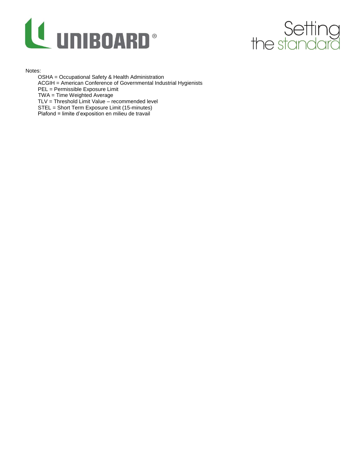



### Notes:

OSHA = Occupational Safety & Health Administration

ACGIH = American Conference of Governmental Industrial Hygienists

PEL = Permissible Exposure Limit

TWA = Time Weighted Average

TLV = Threshold Limit Value – recommended level

STEL = Short Term Exposure Limit (15-minutes)

Plafond = limite d'exposition en milieu de travail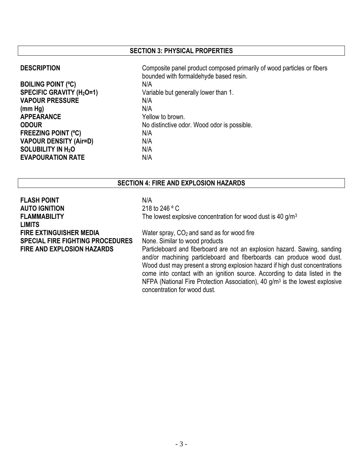# **SECTION 3: PHYSICAL PROPERTIES**

**BOILING POINT (°C)** N/A **VAPOUR PRESSURE N/A (mm Hg)** N/A **APPEARANCE** Yellow to brown. **FREEZING POINT (°C)** N/A **VAPOUR DENSITY (Air=D)** N/A **SOLUBILITY IN H2O** N/A **EVAPOURATION RATE** N/A

**DESCRIPTION** Composite panel product composed primarily of wood particles or fibers bounded with formaldehyde based resin. **SPECIFIC GRAVITY (H2O=1)** Variable but generally lower than 1. **ODOUR** No distinctive odor. Wood odor is possible.

# **SECTION 4: FIRE AND EXPLOSION HAZARDS**

| <b>FLASH POINT</b>                      | N/A |
|-----------------------------------------|-----|
| <b>AUTO IGNITION</b>                    | 218 |
| <b>FLAMMABILITY</b>                     | The |
| <b>LIMITS</b>                           |     |
| <b>FIRE EXTINGUISHER MEDIA</b>          | Wat |
| <b>SPECIAL FIRE FIGHTING PROCEDURES</b> | Nor |
| <b>FIRE AND EXPLOSION HAZARDS</b>       | Par |
|                                         |     |

**AUTO IGNITION** 218 to 246 º C **E** lowest explosive concentration for wood dust is 40 g/m<sup>3</sup>

**FIRE EXTINGUISHER MEDIA** Water spray, CO2 and sand as for wood fire ne. Similar to wood products rticleboard and fiberboard are not an explosion hazard. Sawing, sanding and/or machining particleboard and fiberboards can produce wood dust. Wood dust may present a strong explosion hazard if high dust concentrations come into contact with an ignition source. According to data listed in the NFPA (National Fire Protection Association), 40 g/m<sup>3</sup> is the lowest explosive concentration for wood dust.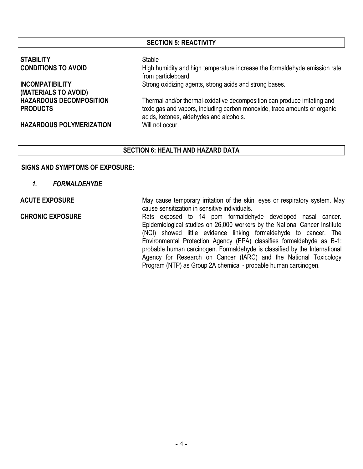# **SECTION 5: REACTIVITY**

# **STABILITY** Stable

**INCOMPATIBILITY (MATERIALS TO AVOID) HAZARDOUS DECOMPOSITION PRODUCTS**

**CONDITIONS TO AVOID** High humidity and high temperature increase the formaldehyde emission rate from particleboard.

Strong oxidizing agents, strong acids and strong bases.

Thermal and/or thermal-oxidative decomposition can produce irritating and toxic gas and vapors, including carbon monoxide, trace amounts or organic acids, ketones, aldehydes and alcohols.

**HAZARDOUS POLYMERIZATION** Will not occur.

# **SECTION 6: HEALTH AND HAZARD DATA**

# **SIGNS AND SYMPTOMS OF EXPOSURE:**

*1. FORMALDEHYDE*

ACUTE EXPOSURE May cause temporary irritation of the skin, eyes or respiratory system. May cause sensitization in sensitive individuals.

**CHRONIC EXPOSURE** Rats exposed to 14 ppm formaldehyde developed nasal cancer. Epidemiological studies on 26,000 workers by the National Cancer Institute (NCI) showed little evidence linking formaldehyde to cancer. The Environmental Protection Agency (EPA) classifies formaldehyde as B-1: probable human carcinogen. Formaldehyde is classified by the International Agency for Research on Cancer (IARC) and the National Toxicology Program (NTP) as Group 2A chemical - probable human carcinogen.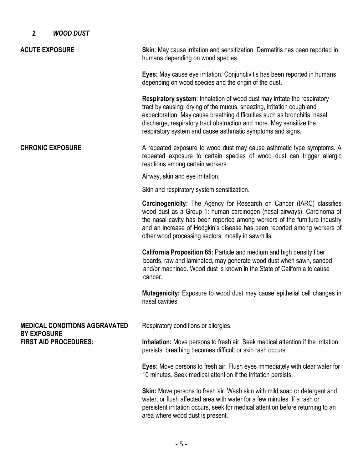# *2. WOOD DUST*

| <b>ACUTE EXPOSURE</b>                                      | <b>Skin:</b> May cause irritation and sensitization. Dermatitis has been reported in<br>humans depending on wood species.                                                                                                                                                                                                                                                   |  |
|------------------------------------------------------------|-----------------------------------------------------------------------------------------------------------------------------------------------------------------------------------------------------------------------------------------------------------------------------------------------------------------------------------------------------------------------------|--|
|                                                            | Eyes: May cause eye irritation. Conjunctivitis has been reported in humans<br>depending on wood species and the origin of the dust.                                                                                                                                                                                                                                         |  |
|                                                            | <b>Respiratory system:</b> Inhalation of wood dust may irritate the respiratory<br>tract by causing: drying of the mucus, sneezing, irritation cough and<br>expectoration. May cause breathing difficulties such as bronchitis, nasal<br>discharge, respiratory tract obstruction and more. May sensitize the<br>respiratory system and cause asthmatic symptoms and signs. |  |
| <b>CHRONIC EXPOSURE</b>                                    | A repeated exposure to wood dust may cause asthmatic type symptoms. A<br>repeated exposure to certain species of wood dust can trigger allergic<br>reactions among certain workers.                                                                                                                                                                                         |  |
|                                                            | Airway, skin and eye irritation.                                                                                                                                                                                                                                                                                                                                            |  |
|                                                            | Skin and respiratory system sensitization.                                                                                                                                                                                                                                                                                                                                  |  |
|                                                            | Carcinogenicity: The Agency for Research on Cancer (IARC) classifies<br>wood dust as a Group 1: human carcinogen (nasal airways). Carcinoma of<br>the nasal cavity has been reported among workers of the furniture industry<br>and an increase of Hodgkin's disease has been reported among workers of<br>other wood processing sectors, mostly in sawmills.               |  |
|                                                            | <b>California Proposition 65: Particle and medium and high density fiber</b><br>boards, raw and laminated, may generate wood dust when sawn, sanded<br>and/or machined. Wood dust is known in the State of California to cause<br>cancer.                                                                                                                                   |  |
|                                                            | Mutagenicity: Exposure to wood dust may cause epithelial cell changes in<br>nasal cavities.                                                                                                                                                                                                                                                                                 |  |
| <b>MEDICAL CONDITIONS AGGRAVATED</b><br><b>BY EXPOSURE</b> | Respiratory conditions or allergies.                                                                                                                                                                                                                                                                                                                                        |  |
| <b>FIRST AID PROCEDURES:</b>                               | Inhalation: Move persons to fresh air. Seek medical attention if the irritation<br>persists, breathing becomes difficult or skin rash occurs.                                                                                                                                                                                                                               |  |
|                                                            | Eyes: Move persons to fresh air. Flush eyes immediately with clear water for<br>10 minutes. Seek medical attention if the irritation persists.                                                                                                                                                                                                                              |  |
|                                                            | <b>Skin:</b> Move persons to fresh air. Wash skin with mild soap or detergent and<br>water, or flush affected area with water for a few minutes. If a rash or<br>persistent irritation occurs, seek for medical attention before returning to an<br>area where wood dust is present.                                                                                        |  |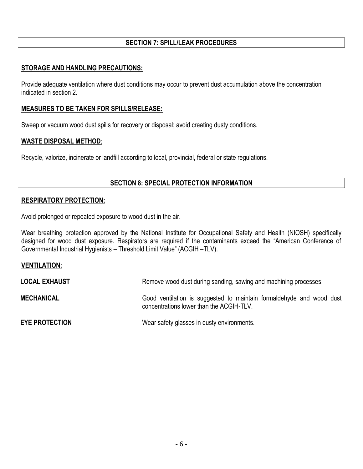# **SECTION 7: SPILL/LEAK PROCEDURES**

# **STORAGE AND HANDLING PRECAUTIONS:**

Provide adequate ventilation where dust conditions may occur to prevent dust accumulation above the concentration indicated in section 2.

# **MEASURES TO BE TAKEN FOR SPILLS/RELEASE:**

Sweep or vacuum wood dust spills for recovery or disposal; avoid creating dusty conditions.

# **WASTE DISPOSAL METHOD**:

Recycle, valorize, incinerate or landfill according to local, provincial, federal or state regulations.

# **SECTION 8: SPECIAL PROTECTION INFORMATION**

# **RESPIRATORY PROTECTION:**

Avoid prolonged or repeated exposure to wood dust in the air.

Wear breathing protection approved by the National Institute for Occupational Safety and Health (NIOSH) specifically designed for wood dust exposure. Respirators are required if the contaminants exceed the "American Conference of Governmental Industrial Hygienists – Threshold Limit Value" (ACGIH –TLV).

### **VENTILATION:**

| <b>LOCAL EXHAUST</b>  | Remove wood dust during sanding, sawing and machining processes.                                                 |  |
|-----------------------|------------------------------------------------------------------------------------------------------------------|--|
| <b>MECHANICAL</b>     | Good ventilation is suggested to maintain formaldehyde and wood dust<br>concentrations lower than the ACGIH-TLV. |  |
| <b>EYE PROTECTION</b> | Wear safety glasses in dusty environments.                                                                       |  |